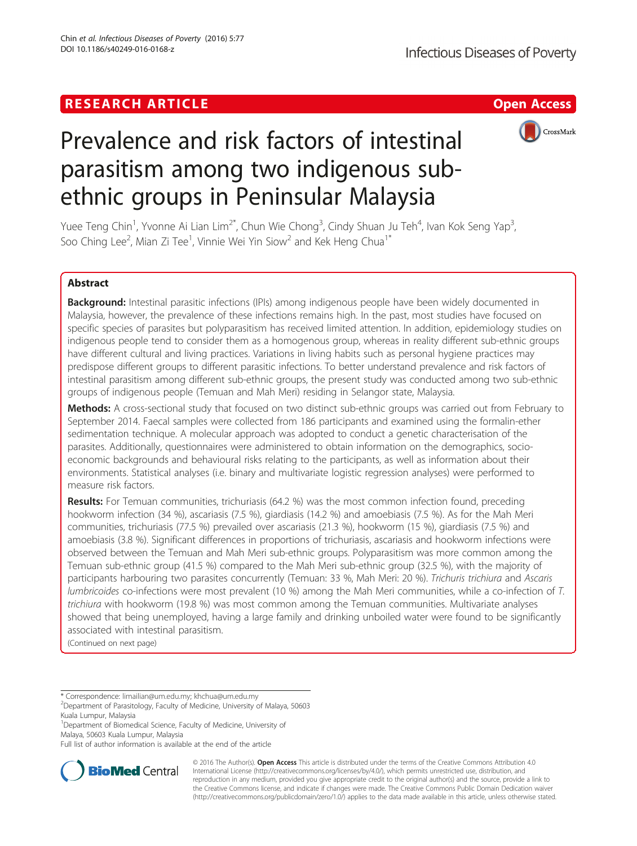# **RESEARCH ARTICLE Example 2018 12:30 The Contract of Contract ACCESS**



# Prevalence and risk factors of intestinal parasitism among two indigenous subethnic groups in Peninsular Malaysia

Yuee Teng Chin<sup>1</sup>, Yvonne Ai Lian Lim<sup>2\*</sup>, Chun Wie Chong<sup>3</sup>, Cindy Shuan Ju Teh<sup>4</sup>, Ivan Kok Seng Yap<sup>3</sup> , Soo Ching Lee $^2$ , Mian Zi Tee $^1$ , Vinnie Wei Yin Siow $^2$  and Kek Heng Chua $^1{}^*$ 

# Abstract

Background: Intestinal parasitic infections (IPIs) among indigenous people have been widely documented in Malaysia, however, the prevalence of these infections remains high. In the past, most studies have focused on specific species of parasites but polyparasitism has received limited attention. In addition, epidemiology studies on indigenous people tend to consider them as a homogenous group, whereas in reality different sub-ethnic groups have different cultural and living practices. Variations in living habits such as personal hygiene practices may predispose different groups to different parasitic infections. To better understand prevalence and risk factors of intestinal parasitism among different sub-ethnic groups, the present study was conducted among two sub-ethnic groups of indigenous people (Temuan and Mah Meri) residing in Selangor state, Malaysia.

Methods: A cross-sectional study that focused on two distinct sub-ethnic groups was carried out from February to September 2014. Faecal samples were collected from 186 participants and examined using the formalin-ether sedimentation technique. A molecular approach was adopted to conduct a genetic characterisation of the parasites. Additionally, questionnaires were administered to obtain information on the demographics, socioeconomic backgrounds and behavioural risks relating to the participants, as well as information about their environments. Statistical analyses (i.e. binary and multivariate logistic regression analyses) were performed to measure risk factors.

Results: For Temuan communities, trichuriasis (64.2 %) was the most common infection found, preceding hookworm infection (34 %), ascariasis (7.5 %), giardiasis (14.2 %) and amoebiasis (7.5 %). As for the Mah Meri communities, trichuriasis (77.5 %) prevailed over ascariasis (21.3 %), hookworm (15 %), giardiasis (7.5 %) and amoebiasis (3.8 %). Significant differences in proportions of trichuriasis, ascariasis and hookworm infections were observed between the Temuan and Mah Meri sub-ethnic groups. Polyparasitism was more common among the Temuan sub-ethnic group (41.5 %) compared to the Mah Meri sub-ethnic group (32.5 %), with the majority of participants harbouring two parasites concurrently (Temuan: 33 %, Mah Meri: 20 %). Trichuris trichiura and Ascaris lumbricoides co-infections were most prevalent (10 %) among the Mah Meri communities, while a co-infection of T. trichiura with hookworm (19.8 %) was most common among the Temuan communities. Multivariate analyses showed that being unemployed, having a large family and drinking unboiled water were found to be significantly associated with intestinal parasitism.

(Continued on next page)

\* Correspondence: [limailian@um.edu.my](mailto:limailian@um.edu.my); [khchua@um.edu.my](mailto:khchua@um.edu.my) <sup>2</sup>

<sup>2</sup>Department of Parasitology, Faculty of Medicine, University of Malaya, 50603 Kuala Lumpur, Malaysia

<sup>1</sup>Department of Biomedical Science, Faculty of Medicine, University of Malaya, 50603 Kuala Lumpur, Malaysia

Full list of author information is available at the end of the article



© 2016 The Author(s). Open Access This article is distributed under the terms of the Creative Commons Attribution 4.0 International License [\(http://creativecommons.org/licenses/by/4.0/](http://creativecommons.org/licenses/by/4.0/)), which permits unrestricted use, distribution, and reproduction in any medium, provided you give appropriate credit to the original author(s) and the source, provide a link to the Creative Commons license, and indicate if changes were made. The Creative Commons Public Domain Dedication waiver [\(http://creativecommons.org/publicdomain/zero/1.0/](http://creativecommons.org/publicdomain/zero/1.0/)) applies to the data made available in this article, unless otherwise stated.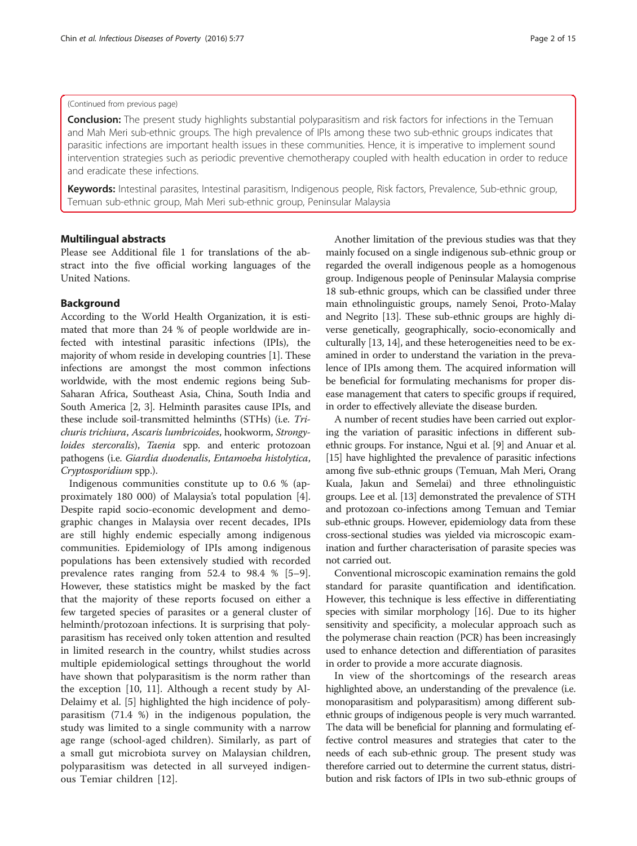#### (Continued from previous page)

Conclusion: The present study highlights substantial polyparasitism and risk factors for infections in the Temuan and Mah Meri sub-ethnic groups. The high prevalence of IPIs among these two sub-ethnic groups indicates that parasitic infections are important health issues in these communities. Hence, it is imperative to implement sound intervention strategies such as periodic preventive chemotherapy coupled with health education in order to reduce and eradicate these infections.

Keywords: Intestinal parasites, Intestinal parasitism, Indigenous people, Risk factors, Prevalence, Sub-ethnic group, Temuan sub-ethnic group, Mah Meri sub-ethnic group, Peninsular Malaysia

#### Multilingual abstracts

Please see Additional file [1](#page-13-0) for translations of the abstract into the five official working languages of the United Nations.

#### **Background**

According to the World Health Organization, it is estimated that more than 24 % of people worldwide are infected with intestinal parasitic infections (IPIs), the majority of whom reside in developing countries [\[1](#page-13-0)]. These infections are amongst the most common infections worldwide, with the most endemic regions being Sub-Saharan Africa, Southeast Asia, China, South India and South America [\[2](#page-13-0), [3\]](#page-13-0). Helminth parasites cause IPIs, and these include soil-transmitted helminths (STHs) (i.e. Trichuris trichiura, Ascaris lumbricoides, hookworm, Strongyloides stercoralis), Taenia spp. and enteric protozoan pathogens (i.e. Giardia duodenalis, Entamoeba histolytica, Cryptosporidium spp.).

Indigenous communities constitute up to 0.6 % (approximately 180 000) of Malaysia's total population [\[4](#page-13-0)]. Despite rapid socio-economic development and demographic changes in Malaysia over recent decades, IPIs are still highly endemic especially among indigenous communities. Epidemiology of IPIs among indigenous populations has been extensively studied with recorded prevalence rates ranging from 52.4 to 98.4 % [\[5](#page-13-0)–[9](#page-13-0)]. However, these statistics might be masked by the fact that the majority of these reports focused on either a few targeted species of parasites or a general cluster of helminth/protozoan infections. It is surprising that polyparasitism has received only token attention and resulted in limited research in the country, whilst studies across multiple epidemiological settings throughout the world have shown that polyparasitism is the norm rather than the exception [[10](#page-13-0), [11\]](#page-13-0). Although a recent study by Al-Delaimy et al. [[5](#page-13-0)] highlighted the high incidence of polyparasitism (71.4 %) in the indigenous population, the study was limited to a single community with a narrow age range (school-aged children). Similarly, as part of a small gut microbiota survey on Malaysian children, polyparasitism was detected in all surveyed indigenous Temiar children [\[12](#page-13-0)].

Another limitation of the previous studies was that they mainly focused on a single indigenous sub-ethnic group or regarded the overall indigenous people as a homogenous group. Indigenous people of Peninsular Malaysia comprise 18 sub-ethnic groups, which can be classified under three main ethnolinguistic groups, namely Senoi, Proto-Malay and Negrito [[13](#page-13-0)]. These sub-ethnic groups are highly diverse genetically, geographically, socio-economically and culturally [[13](#page-13-0), [14](#page-13-0)], and these heterogeneities need to be examined in order to understand the variation in the prevalence of IPIs among them. The acquired information will be beneficial for formulating mechanisms for proper disease management that caters to specific groups if required, in order to effectively alleviate the disease burden.

A number of recent studies have been carried out exploring the variation of parasitic infections in different subethnic groups. For instance, Ngui et al. [[9\]](#page-13-0) and Anuar et al. [[15](#page-13-0)] have highlighted the prevalence of parasitic infections among five sub-ethnic groups (Temuan, Mah Meri, Orang Kuala, Jakun and Semelai) and three ethnolinguistic groups. Lee et al. [\[13\]](#page-13-0) demonstrated the prevalence of STH and protozoan co-infections among Temuan and Temiar sub-ethnic groups. However, epidemiology data from these cross-sectional studies was yielded via microscopic examination and further characterisation of parasite species was not carried out.

Conventional microscopic examination remains the gold standard for parasite quantification and identification. However, this technique is less effective in differentiating species with similar morphology [[16](#page-13-0)]. Due to its higher sensitivity and specificity, a molecular approach such as the polymerase chain reaction (PCR) has been increasingly used to enhance detection and differentiation of parasites in order to provide a more accurate diagnosis.

In view of the shortcomings of the research areas highlighted above, an understanding of the prevalence (i.e. monoparasitism and polyparasitism) among different subethnic groups of indigenous people is very much warranted. The data will be beneficial for planning and formulating effective control measures and strategies that cater to the needs of each sub-ethnic group. The present study was therefore carried out to determine the current status, distribution and risk factors of IPIs in two sub-ethnic groups of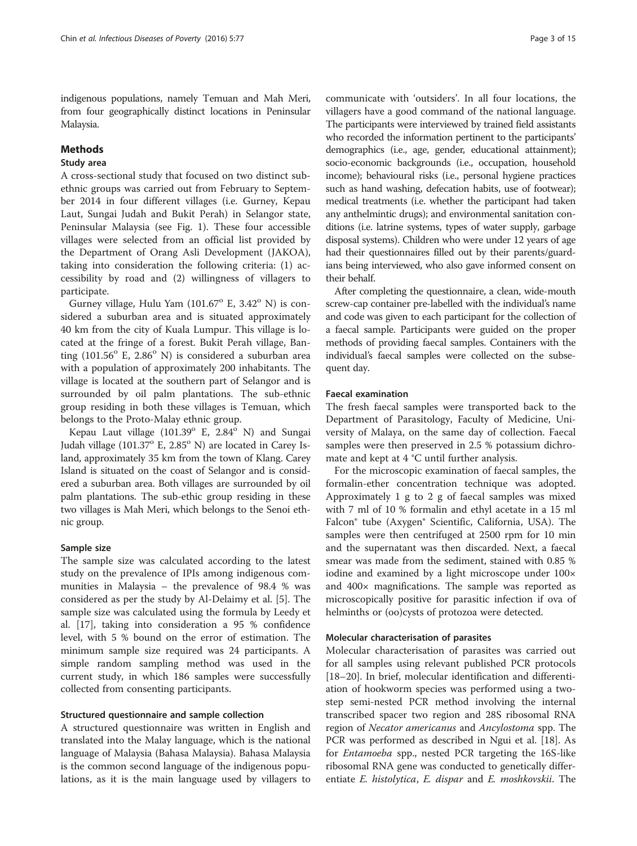indigenous populations, namely Temuan and Mah Meri, from four geographically distinct locations in Peninsular Malaysia.

#### Methods

#### Study area

A cross-sectional study that focused on two distinct subethnic groups was carried out from February to September 2014 in four different villages (i.e. Gurney, Kepau Laut, Sungai Judah and Bukit Perah) in Selangor state, Peninsular Malaysia (see Fig. [1\)](#page-3-0). These four accessible villages were selected from an official list provided by the Department of Orang Asli Development (JAKOA), taking into consideration the following criteria: (1) accessibility by road and (2) willingness of villagers to participate.

Gurney village, Hulu Yam  $(101.67^{\circ}$  E,  $3.42^{\circ}$  N) is considered a suburban area and is situated approximately 40 km from the city of Kuala Lumpur. This village is located at the fringe of a forest. Bukit Perah village, Banting (101.56 $^{\circ}$  E, 2.86 $^{\circ}$  N) is considered a suburban area with a population of approximately 200 inhabitants. The village is located at the southern part of Selangor and is surrounded by oil palm plantations. The sub-ethnic group residing in both these villages is Temuan, which belongs to the Proto-Malay ethnic group.

Kepau Laut village  $(101.39^{\circ}$  E,  $2.84^{\circ}$  N) and Sungai Judah village (101.37 $\degree$  E, 2.85 $\degree$  N) are located in Carey Island, approximately 35 km from the town of Klang. Carey Island is situated on the coast of Selangor and is considered a suburban area. Both villages are surrounded by oil palm plantations. The sub-ethic group residing in these two villages is Mah Meri, which belongs to the Senoi ethnic group.

#### Sample size

The sample size was calculated according to the latest study on the prevalence of IPIs among indigenous communities in Malaysia – the prevalence of 98.4 % was considered as per the study by Al-Delaimy et al. [\[5\]](#page-13-0). The sample size was calculated using the formula by Leedy et al. [[17](#page-13-0)], taking into consideration a 95 % confidence level, with 5 % bound on the error of estimation. The minimum sample size required was 24 participants. A simple random sampling method was used in the current study, in which 186 samples were successfully collected from consenting participants.

#### Structured questionnaire and sample collection

A structured questionnaire was written in English and translated into the Malay language, which is the national language of Malaysia (Bahasa Malaysia). Bahasa Malaysia is the common second language of the indigenous populations, as it is the main language used by villagers to

communicate with 'outsiders'. In all four locations, the villagers have a good command of the national language. The participants were interviewed by trained field assistants who recorded the information pertinent to the participants' demographics (i.e., age, gender, educational attainment); socio-economic backgrounds (i.e., occupation, household income); behavioural risks (i.e., personal hygiene practices such as hand washing, defecation habits, use of footwear); medical treatments (i.e. whether the participant had taken any anthelmintic drugs); and environmental sanitation conditions (i.e. latrine systems, types of water supply, garbage disposal systems). Children who were under 12 years of age had their questionnaires filled out by their parents/guardians being interviewed, who also gave informed consent on their behalf.

After completing the questionnaire, a clean, wide-mouth screw-cap container pre-labelled with the individual's name and code was given to each participant for the collection of a faecal sample. Participants were guided on the proper methods of providing faecal samples. Containers with the individual's faecal samples were collected on the subsequent day.

#### Faecal examination

The fresh faecal samples were transported back to the Department of Parasitology, Faculty of Medicine, University of Malaya, on the same day of collection. Faecal samples were then preserved in 2.5 % potassium dichromate and kept at 4 °C until further analysis.

For the microscopic examination of faecal samples, the formalin-ether concentration technique was adopted. Approximately 1 g to 2 g of faecal samples was mixed with 7 ml of 10 % formalin and ethyl acetate in a 15 ml Falcon® tube (Axygen® Scientific, California, USA). The samples were then centrifuged at 2500 rpm for 10 min and the supernatant was then discarded. Next, a faecal smear was made from the sediment, stained with 0.85 % iodine and examined by a light microscope under 100× and 400× magnifications. The sample was reported as microscopically positive for parasitic infection if ova of helminths or (oo)cysts of protozoa were detected.

#### Molecular characterisation of parasites

Molecular characterisation of parasites was carried out for all samples using relevant published PCR protocols [[18](#page-13-0)–[20](#page-13-0)]. In brief, molecular identification and differentiation of hookworm species was performed using a twostep semi-nested PCR method involving the internal transcribed spacer two region and 28S ribosomal RNA region of Necator americanus and Ancylostoma spp. The PCR was performed as described in Ngui et al. [[18\]](#page-13-0). As for Entamoeba spp., nested PCR targeting the 16S-like ribosomal RNA gene was conducted to genetically differentiate E. histolytica, E. dispar and E. moshkovskii. The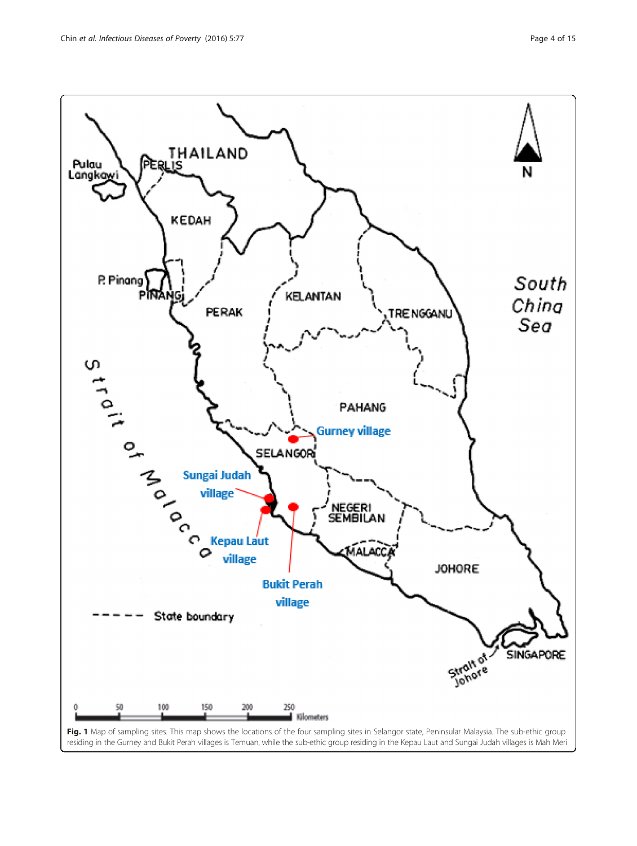<span id="page-3-0"></span>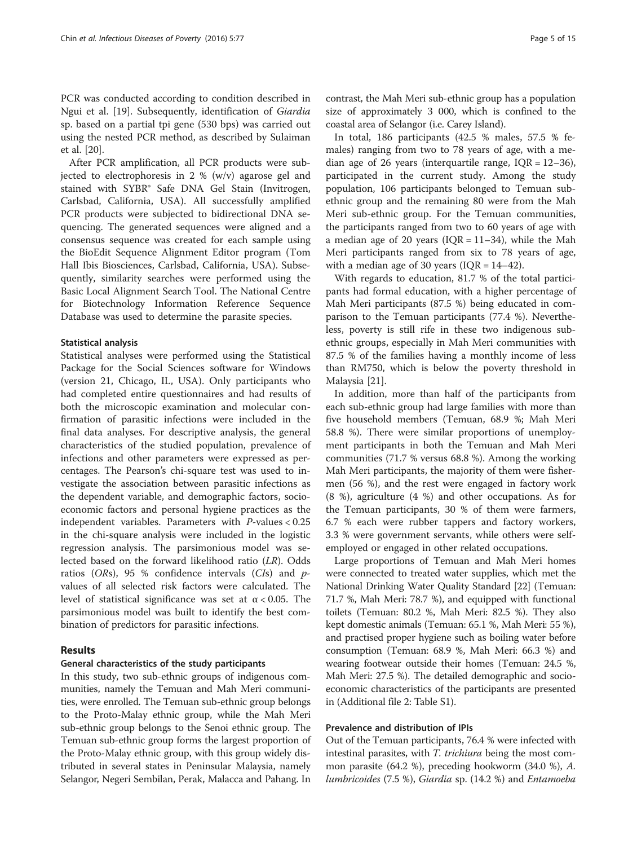PCR was conducted according to condition described in Ngui et al. [[19\]](#page-13-0). Subsequently, identification of Giardia sp. based on a partial tpi gene (530 bps) was carried out using the nested PCR method, as described by Sulaiman et al. [\[20](#page-13-0)].

After PCR amplification, all PCR products were subjected to electrophoresis in 2 % (w/v) agarose gel and stained with SYBR® Safe DNA Gel Stain (Invitrogen, Carlsbad, California, USA). All successfully amplified PCR products were subjected to bidirectional DNA sequencing. The generated sequences were aligned and a consensus sequence was created for each sample using the BioEdit Sequence Alignment Editor program (Tom Hall Ibis Biosciences, Carlsbad, California, USA). Subsequently, similarity searches were performed using the Basic Local Alignment Search Tool. The National Centre for Biotechnology Information Reference Sequence Database was used to determine the parasite species.

#### Statistical analysis

Statistical analyses were performed using the Statistical Package for the Social Sciences software for Windows (version 21, Chicago, IL, USA). Only participants who had completed entire questionnaires and had results of both the microscopic examination and molecular confirmation of parasitic infections were included in the final data analyses. For descriptive analysis, the general characteristics of the studied population, prevalence of infections and other parameters were expressed as percentages. The Pearson's chi-square test was used to investigate the association between parasitic infections as the dependent variable, and demographic factors, socioeconomic factors and personal hygiene practices as the independent variables. Parameters with P-values < 0.25 in the chi-square analysis were included in the logistic regression analysis. The parsimonious model was selected based on the forward likelihood ratio (LR). Odds ratios (ORs), 95 % confidence intervals (CIs) and  $p$ values of all selected risk factors were calculated. The level of statistical significance was set at α < 0.05. The parsimonious model was built to identify the best combination of predictors for parasitic infections.

#### Results

#### General characteristics of the study participants

In this study, two sub-ethnic groups of indigenous communities, namely the Temuan and Mah Meri communities, were enrolled. The Temuan sub-ethnic group belongs to the Proto-Malay ethnic group, while the Mah Meri sub-ethnic group belongs to the Senoi ethnic group. The Temuan sub-ethnic group forms the largest proportion of the Proto-Malay ethnic group, with this group widely distributed in several states in Peninsular Malaysia, namely Selangor, Negeri Sembilan, Perak, Malacca and Pahang. In contrast, the Mah Meri sub-ethnic group has a population size of approximately 3 000, which is confined to the coastal area of Selangor (i.e. Carey Island).

In total, 186 participants (42.5 % males, 57.5 % females) ranging from two to 78 years of age, with a median age of 26 years (interquartile range,  $IQR = 12-36$ ), participated in the current study. Among the study population, 106 participants belonged to Temuan subethnic group and the remaining 80 were from the Mah Meri sub-ethnic group. For the Temuan communities, the participants ranged from two to 60 years of age with a median age of 20 years ( $IQR = 11-34$ ), while the Mah Meri participants ranged from six to 78 years of age, with a median age of 30 years ( $IQR = 14-42$ ).

With regards to education, 81.7 % of the total participants had formal education, with a higher percentage of Mah Meri participants (87.5 %) being educated in comparison to the Temuan participants (77.4 %). Nevertheless, poverty is still rife in these two indigenous subethnic groups, especially in Mah Meri communities with 87.5 % of the families having a monthly income of less than RM750, which is below the poverty threshold in Malaysia [\[21](#page-13-0)].

In addition, more than half of the participants from each sub-ethnic group had large families with more than five household members (Temuan, 68.9 %; Mah Meri 58.8 %). There were similar proportions of unemployment participants in both the Temuan and Mah Meri communities (71.7 % versus 68.8 %). Among the working Mah Meri participants, the majority of them were fishermen (56 %), and the rest were engaged in factory work (8 %), agriculture (4 %) and other occupations. As for the Temuan participants, 30 % of them were farmers, 6.7 % each were rubber tappers and factory workers, 3.3 % were government servants, while others were selfemployed or engaged in other related occupations.

Large proportions of Temuan and Mah Meri homes were connected to treated water supplies, which met the National Drinking Water Quality Standard [[22](#page-14-0)] (Temuan: 71.7 %, Mah Meri: 78.7 %), and equipped with functional toilets (Temuan: 80.2 %, Mah Meri: 82.5 %). They also kept domestic animals (Temuan: 65.1 %, Mah Meri: 55 %), and practised proper hygiene such as boiling water before consumption (Temuan: 68.9 %, Mah Meri: 66.3 %) and wearing footwear outside their homes (Temuan: 24.5 %, Mah Meri: 27.5 %). The detailed demographic and socioeconomic characteristics of the participants are presented in (Additional file [2:](#page-13-0) Table S1).

#### Prevalence and distribution of IPIs

Out of the Temuan participants, 76.4 % were infected with intestinal parasites, with *T. trichiura* being the most common parasite (64.2 %), preceding hookworm (34.0 %), A. lumbricoides (7.5 %), Giardia sp. (14.2 %) and Entamoeba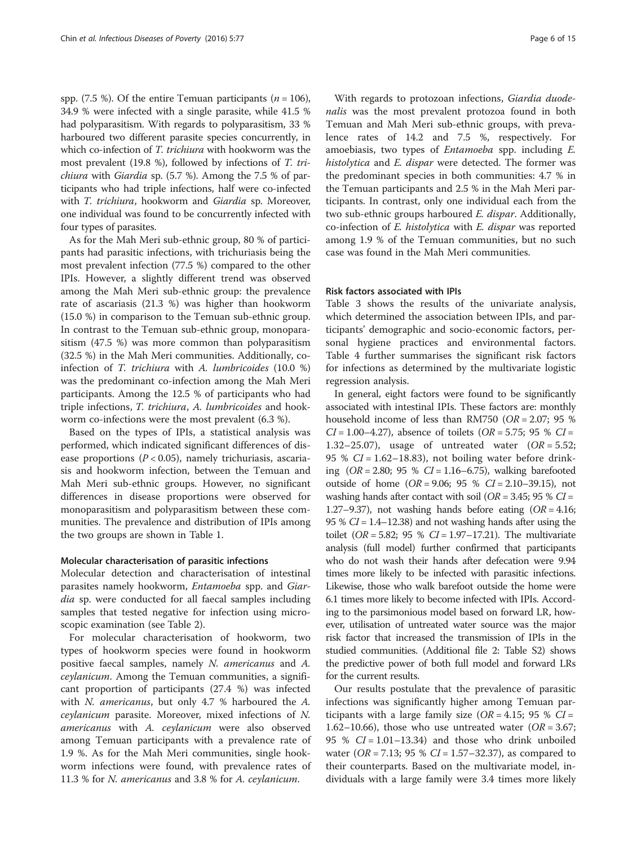spp. (7.5 %). Of the entire Temuan participants ( $n = 106$ ), 34.9 % were infected with a single parasite, while 41.5 % had polyparasitism. With regards to polyparasitism, 33 % harboured two different parasite species concurrently, in which co-infection of T. trichiura with hookworm was the most prevalent (19.8 %), followed by infections of T. trichiura with Giardia sp. (5.7 %). Among the 7.5 % of participants who had triple infections, half were co-infected with T. trichiura, hookworm and Giardia sp. Moreover, one individual was found to be concurrently infected with four types of parasites.

As for the Mah Meri sub-ethnic group, 80 % of participants had parasitic infections, with trichuriasis being the most prevalent infection (77.5 %) compared to the other IPIs. However, a slightly different trend was observed among the Mah Meri sub-ethnic group: the prevalence rate of ascariasis (21.3 %) was higher than hookworm (15.0 %) in comparison to the Temuan sub-ethnic group. In contrast to the Temuan sub-ethnic group, monoparasitism (47.5 %) was more common than polyparasitism (32.5 %) in the Mah Meri communities. Additionally, coinfection of T. trichiura with A. lumbricoides (10.0 %) was the predominant co-infection among the Mah Meri participants. Among the 12.5 % of participants who had triple infections, T. trichiura, A. lumbricoides and hookworm co-infections were the most prevalent (6.3 %).

Based on the types of IPIs, a statistical analysis was performed, which indicated significant differences of disease proportions ( $P < 0.05$ ), namely trichuriasis, ascariasis and hookworm infection, between the Temuan and Mah Meri sub-ethnic groups. However, no significant differences in disease proportions were observed for monoparasitism and polyparasitism between these communities. The prevalence and distribution of IPIs among the two groups are shown in Table [1](#page-6-0).

#### Molecular characterisation of parasitic infections

Molecular detection and characterisation of intestinal parasites namely hookworm, Entamoeba spp. and Giardia sp. were conducted for all faecal samples including samples that tested negative for infection using microscopic examination (see Table [2\)](#page-7-0).

For molecular characterisation of hookworm, two types of hookworm species were found in hookworm positive faecal samples, namely N. americanus and A. ceylanicum. Among the Temuan communities, a significant proportion of participants (27.4 %) was infected with *N. americanus*, but only 4.7 % harboured the *A*. ceylanicum parasite. Moreover, mixed infections of N. americanus with A. ceylanicum were also observed among Temuan participants with a prevalence rate of 1.9 %. As for the Mah Meri communities, single hookworm infections were found, with prevalence rates of 11.3 % for N. americanus and 3.8 % for A. ceylanicum.

With regards to protozoan infections, Giardia duodenalis was the most prevalent protozoa found in both Temuan and Mah Meri sub-ethnic groups, with prevalence rates of 14.2 and 7.5 %, respectively. For amoebiasis, two types of Entamoeba spp. including E. histolytica and E. dispar were detected. The former was the predominant species in both communities: 4.7 % in the Temuan participants and 2.5 % in the Mah Meri participants. In contrast, only one individual each from the two sub-ethnic groups harboured E. dispar. Additionally, co-infection of E. histolytica with E. dispar was reported among 1.9 % of the Temuan communities, but no such case was found in the Mah Meri communities.

#### Risk factors associated with IPIs

Table [3](#page-8-0) shows the results of the univariate analysis, which determined the association between IPIs, and participants' demographic and socio-economic factors, personal hygiene practices and environmental factors. Table [4](#page-10-0) further summarises the significant risk factors for infections as determined by the multivariate logistic regression analysis.

In general, eight factors were found to be significantly associated with intestinal IPIs. These factors are: monthly household income of less than RM750 ( $OR = 2.07$ ; 95 %  $CI = 1.00 - 4.27$ ), absence of toilets (OR = 5.75; 95 % CI = 1.32–25.07), usage of untreated water  $(OR = 5.52;$ 95 %  $CI = 1.62-18.83$ , not boiling water before drinking  $(OR = 2.80; 95 % CI = 1.16–6.75)$ , walking barefooted outside of home  $(OR = 9.06; 95 % CI = 2.10-39.15)$ , not washing hands after contact with soil ( $OR = 3.45$ ; 95 %  $CI =$ 1.27–9.37), not washing hands before eating  $(OR = 4.16;$ 95 %  $CI = 1.4 - 12.38$ ) and not washing hands after using the toilet (OR = 5.82; 95 %  $CI = 1.97 - 17.21$ ). The multivariate analysis (full model) further confirmed that participants who do not wash their hands after defecation were 9.94 times more likely to be infected with parasitic infections. Likewise, those who walk barefoot outside the home were 6.1 times more likely to become infected with IPIs. According to the parsimonious model based on forward LR, however, utilisation of untreated water source was the major risk factor that increased the transmission of IPIs in the studied communities. (Additional file [2](#page-13-0): Table S2) shows the predictive power of both full model and forward LRs for the current results.

Our results postulate that the prevalence of parasitic infections was significantly higher among Temuan participants with a large family size  $(OR = 4.15; 95 % CI =$ 1.62–10.66), those who use untreated water ( $OR = 3.67$ ; 95 %  $CI = 1.01 - 13.34$  and those who drink unboiled water ( $OR = 7.13$ ; 95 %  $CI = 1.57 - 32.37$ ), as compared to their counterparts. Based on the multivariate model, individuals with a large family were 3.4 times more likely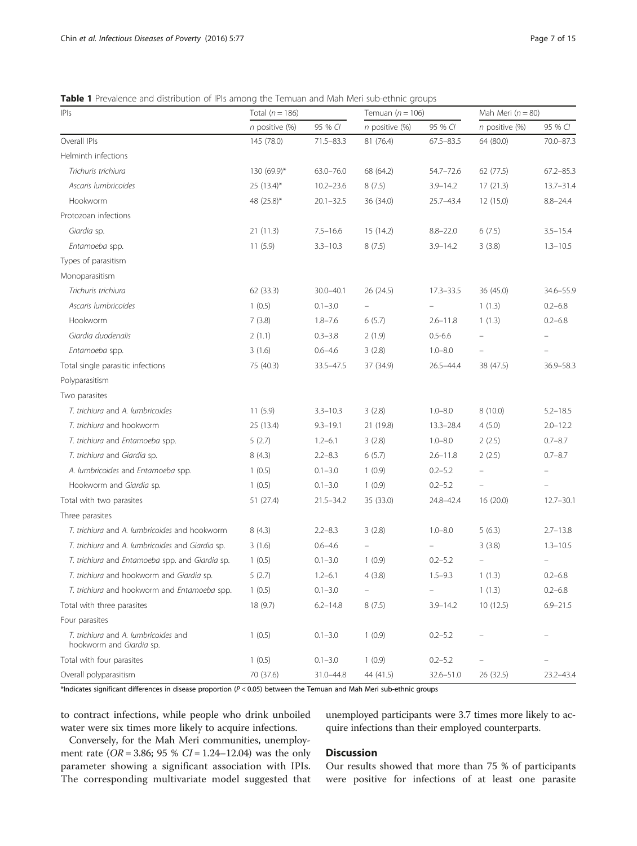<span id="page-6-0"></span>Table 1 Prevalence and distribution of IPIs among the Temuan and Mah Meri sub-ethnic groups

| P S                                                              | Total $(n = 186)$  |               | Temuan ( $n = 106$ )              |               | Mah Meri ( $n = 80$ ) |                          |  |
|------------------------------------------------------------------|--------------------|---------------|-----------------------------------|---------------|-----------------------|--------------------------|--|
|                                                                  | $n$ positive $(%)$ | 95 % CI       | $n$ positive $(\%)$               | 95 % CI       | $n$ positive $(%)$    | 95 % CI                  |  |
| Overall IPIs                                                     | 145 (78.0)         | 71.5-83.3     | 81 (76.4)                         | 67.5-83.5     | 64 (80.0)             | 70.0-87.3                |  |
| Helminth infections                                              |                    |               |                                   |               |                       |                          |  |
| Trichuris trichiura                                              | 130 (69.9)*        | 63.0-76.0     | 68 (64.2)                         | 54.7-72.6     | 62 (77.5)             | $67.2 - 85.3$            |  |
| Ascaris lumbricoides                                             | $25(13.4)^{*}$     | $10.2 - 23.6$ | 8(7.5)                            | $3.9 - 14.2$  | 17(21.3)              | $13.7 - 31.4$            |  |
| Hookworm                                                         | 48 (25.8)*         | $20.1 - 32.5$ | 36 (34.0)                         | 25.7-43.4     | 12 (15.0)             | $8.8 - 24.4$             |  |
| Protozoan infections                                             |                    |               |                                   |               |                       |                          |  |
| Giardia sp.                                                      | 21(11.3)           | $7.5 - 16.6$  | 15 (14.2)                         | $8.8 - 22.0$  | 6(7.5)                | $3.5 - 15.4$             |  |
| Entamoeba spp.                                                   | 11(5.9)            | $3.3 - 10.3$  | 8(7.5)                            | $3.9 - 14.2$  | 3(3.8)                | $1.3 - 10.5$             |  |
| Types of parasitism                                              |                    |               |                                   |               |                       |                          |  |
| Monoparasitism                                                   |                    |               |                                   |               |                       |                          |  |
| Trichuris trichiura                                              | 62 (33.3)          | $30.0 - 40.1$ | 26 (24.5)                         | $17.3 - 33.5$ | 36 (45.0)             | 34.6-55.9                |  |
| Ascaris lumbricoides                                             | 1(0.5)             | $0.1 - 3.0$   | $\qquad \qquad -$                 |               | 1(1.3)                | $0.2 - 6.8$              |  |
| Hookworm                                                         | 7(3.8)             | $1.8 - 7.6$   | 6(5.7)                            | $2.6 - 11.8$  | 1(1.3)                | $0.2 - 6.8$              |  |
| Giardia duodenalis                                               | 2(1.1)             | $0.3 - 3.8$   | 2(1.9)                            | $0.5 - 6.6$   |                       |                          |  |
| Entamoeba spp.                                                   | 3(1.6)             | $0.6 - 4.6$   | 3(2.8)                            | $1.0 - 8.0$   |                       | $\qquad \qquad -$        |  |
| Total single parasitic infections                                | 75 (40.3)          | 33.5-47.5     | 37 (34.9)                         | $26.5 - 44.4$ | 38 (47.5)             | 36.9-58.3                |  |
| Polyparasitism                                                   |                    |               |                                   |               |                       |                          |  |
| Two parasites                                                    |                    |               |                                   |               |                       |                          |  |
| T. trichiura and A. lumbricoides                                 | 11(5.9)            | $3.3 - 10.3$  | 3(2.8)                            | $1.0 - 8.0$   | 8(10.0)               | $5.2 - 18.5$             |  |
| T. trichiura and hookworm                                        | 25 (13.4)          | $9.3 - 19.1$  | 21 (19.8)                         | $13.3 - 28.4$ | 4(5.0)                | $2.0 - 12.2$             |  |
| T. trichiura and Entamoeba spp.                                  | 5(2.7)             | $1.2 - 6.1$   | 3(2.8)                            | $1.0 - 8.0$   | 2(2.5)                | $0.7 - 8.7$              |  |
| T. trichiura and Giardia sp.                                     | 8(4.3)             | $2.2 - 8.3$   | 6(5.7)                            | $2.6 - 11.8$  | 2(2.5)                | $0.7 - 8.7$              |  |
| A. lumbricoides and Entamoeba spp.                               | 1(0.5)             | $0.1 - 3.0$   | 1(0.9)                            | $0.2 - 5.2$   |                       |                          |  |
| Hookworm and Giardia sp.                                         | 1(0.5)             | $0.1 - 3.0$   | 1(0.9)                            | $0.2 - 5.2$   |                       |                          |  |
| Total with two parasites                                         | 51(27.4)           | $21.5 - 34.2$ | 35 (33.0)                         | 24.8-42.4     | 16(20.0)              | $12.7 - 30.1$            |  |
| Three parasites                                                  |                    |               |                                   |               |                       |                          |  |
| T. trichiura and A. lumbricoides and hookworm                    | 8(4.3)             | $2.2 - 8.3$   | 3(2.8)                            | $1.0 - 8.0$   | 5(6.3)                | $2.7 - 13.8$             |  |
| T. trichiura and A. lumbricoides and Giardia sp.                 | 3(1.6)             | $0.6 - 4.6$   | $\hspace{1.0cm} - \hspace{1.0cm}$ |               | 3(3.8)                | $1.3 - 10.5$             |  |
| T. trichiura and Entamoeba spp. and Giardia sp.                  | 1(0.5)             | $0.1 - 3.0$   | 1(0.9)                            | $0.2 - 5.2$   |                       |                          |  |
| T. trichiura and hookworm and Giardia sp.                        | 5(2.7)             | $1.2 - 6.1$   | 4(3.8)                            | $1.5 - 9.3$   | 1(1.3)                | $0.2 - 6.8$              |  |
| T. trichiura and hookworm and Entamoeba spp.                     | 1(0.5)             | $0.1 - 3.0$   | $\overline{a}$                    | $\equiv$      | 1(1.3)                | $0.2 - 6.8$              |  |
| Total with three parasites                                       | 18 (9.7)           | $6.2 - 14.8$  | 8(7.5)                            | $3.9 - 14.2$  | 10(12.5)              | $6.9 - 21.5$             |  |
| Four parasites                                                   |                    |               |                                   |               |                       |                          |  |
| T. trichiura and A. lumbricoides and<br>hookworm and Giardia sp. | 1(0.5)             | $0.1 - 3.0$   | 1(0.9)                            | $0.2 - 5.2$   |                       | $\overline{\phantom{m}}$ |  |
| Total with four parasites                                        | 1(0.5)             | $0.1 - 3.0$   | 1(0.9)                            | $0.2 - 5.2$   |                       |                          |  |
| Overall polyparasitism                                           | 70 (37.6)          | 31.0-44.8     | 44 (41.5)                         | $32.6 - 51.0$ | 26 (32.5)             | 23.2-43.4                |  |

\*Indicates significant differences in disease proportion (P < 0.05) between the Temuan and Mah Meri sub-ethnic groups

to contract infections, while people who drink unboiled water were six times more likely to acquire infections.

unemployed participants were 3.7 times more likely to acquire infections than their employed counterparts.

Conversely, for the Mah Meri communities, unemployment rate ( $OR = 3.86$ ; 95 %  $CI = 1.24 - 12.04$ ) was the only parameter showing a significant association with IPIs. The corresponding multivariate model suggested that

# Discussion

Our results showed that more than 75 % of participants were positive for infections of at least one parasite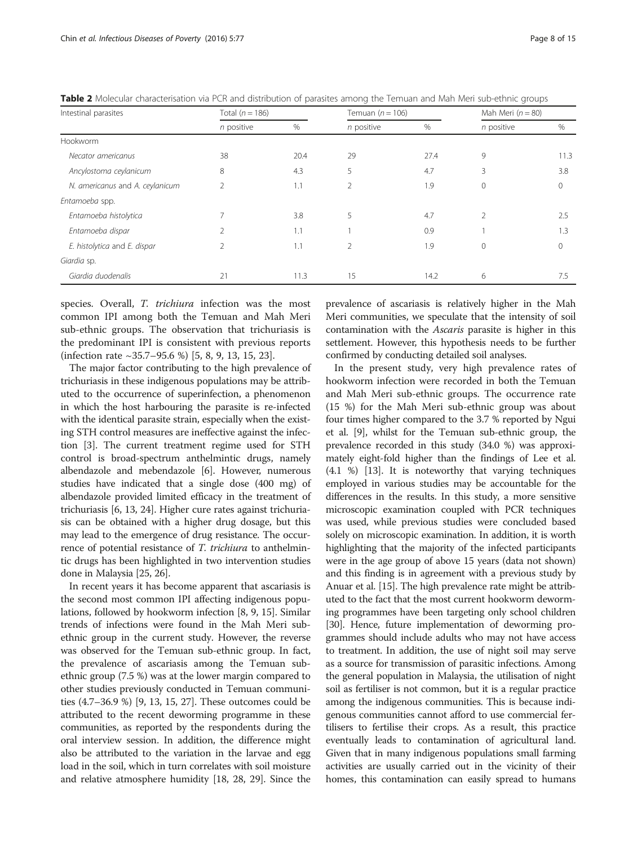| Intestinal parasites            | Total $(n = 186)$ |      | Temuan ( $n = 106$ ) |      | Mah Meri ( $n = 80$ ) |              |
|---------------------------------|-------------------|------|----------------------|------|-----------------------|--------------|
|                                 | $n$ positive      | $\%$ | $n$ positive         | %    | $n$ positive          | %            |
| Hookworm                        |                   |      |                      |      |                       |              |
| Necator americanus              | 38                | 20.4 | 29                   | 27.4 | 9                     | 11.3         |
| Ancylostoma ceylanicum          | 8                 | 4.3  | 5                    | 4.7  | 3                     | 3.8          |
| N. americanus and A. ceylanicum | $\mathcal{P}$     | 1.1  | 2                    | 1.9  | $\mathbf 0$           | $\mathbf{0}$ |
| Entamoeba spp.                  |                   |      |                      |      |                       |              |
| Entamoeba histolytica           |                   | 3.8  | 5                    | 4.7  | 2                     | 2.5          |
| Entamoeba dispar                |                   | 1.1  |                      | 0.9  |                       | 1.3          |
| E. histolytica and E. dispar    | 2                 | 1.1  | 2                    | 1.9  | $\mathbf{0}$          | $\mathbf{0}$ |
| Giardia sp.                     |                   |      |                      |      |                       |              |
| Giardia duodenalis              | 21                | 11.3 | 15                   | 14.2 | 6                     | 7.5          |

<span id="page-7-0"></span>Table 2 Molecular characterisation via PCR and distribution of parasites among the Temuan and Mah Meri sub-ethnic groups

species. Overall, T. trichiura infection was the most common IPI among both the Temuan and Mah Meri sub-ethnic groups. The observation that trichuriasis is the predominant IPI is consistent with previous reports (infection rate ~35.7–95.6 %) [\[5](#page-13-0), [8](#page-13-0), [9](#page-13-0), [13](#page-13-0), [15,](#page-13-0) [23\]](#page-14-0).

The major factor contributing to the high prevalence of trichuriasis in these indigenous populations may be attributed to the occurrence of superinfection, a phenomenon in which the host harbouring the parasite is re-infected with the identical parasite strain, especially when the existing STH control measures are ineffective against the infection [\[3](#page-13-0)]. The current treatment regime used for STH control is broad-spectrum anthelmintic drugs, namely albendazole and mebendazole [\[6](#page-13-0)]. However, numerous studies have indicated that a single dose (400 mg) of albendazole provided limited efficacy in the treatment of trichuriasis [\[6, 13](#page-13-0), [24\]](#page-14-0). Higher cure rates against trichuriasis can be obtained with a higher drug dosage, but this may lead to the emergence of drug resistance. The occurrence of potential resistance of T. trichiura to anthelmintic drugs has been highlighted in two intervention studies done in Malaysia [\[25, 26](#page-14-0)].

In recent years it has become apparent that ascariasis is the second most common IPI affecting indigenous populations, followed by hookworm infection [[8, 9, 15](#page-13-0)]. Similar trends of infections were found in the Mah Meri subethnic group in the current study. However, the reverse was observed for the Temuan sub-ethnic group. In fact, the prevalence of ascariasis among the Temuan subethnic group (7.5 %) was at the lower margin compared to other studies previously conducted in Temuan communities (4.7–36.9 %) [[9](#page-13-0), [13](#page-13-0), [15](#page-13-0), [27\]](#page-14-0). These outcomes could be attributed to the recent deworming programme in these communities, as reported by the respondents during the oral interview session. In addition, the difference might also be attributed to the variation in the larvae and egg load in the soil, which in turn correlates with soil moisture and relative atmosphere humidity [\[18,](#page-13-0) [28, 29](#page-14-0)]. Since the

prevalence of ascariasis is relatively higher in the Mah Meri communities, we speculate that the intensity of soil contamination with the Ascaris parasite is higher in this settlement. However, this hypothesis needs to be further confirmed by conducting detailed soil analyses.

In the present study, very high prevalence rates of hookworm infection were recorded in both the Temuan and Mah Meri sub-ethnic groups. The occurrence rate (15 %) for the Mah Meri sub-ethnic group was about four times higher compared to the 3.7 % reported by Ngui et al. [[9\]](#page-13-0), whilst for the Temuan sub-ethnic group, the prevalence recorded in this study (34.0 %) was approximately eight-fold higher than the findings of Lee et al. (4.1 %) [[13](#page-13-0)]. It is noteworthy that varying techniques employed in various studies may be accountable for the differences in the results. In this study, a more sensitive microscopic examination coupled with PCR techniques was used, while previous studies were concluded based solely on microscopic examination. In addition, it is worth highlighting that the majority of the infected participants were in the age group of above 15 years (data not shown) and this finding is in agreement with a previous study by Anuar et al. [\[15\]](#page-13-0). The high prevalence rate might be attributed to the fact that the most current hookworm deworming programmes have been targeting only school children [[30](#page-14-0)]. Hence, future implementation of deworming programmes should include adults who may not have access to treatment. In addition, the use of night soil may serve as a source for transmission of parasitic infections. Among the general population in Malaysia, the utilisation of night soil as fertiliser is not common, but it is a regular practice among the indigenous communities. This is because indigenous communities cannot afford to use commercial fertilisers to fertilise their crops. As a result, this practice eventually leads to contamination of agricultural land. Given that in many indigenous populations small farming activities are usually carried out in the vicinity of their homes, this contamination can easily spread to humans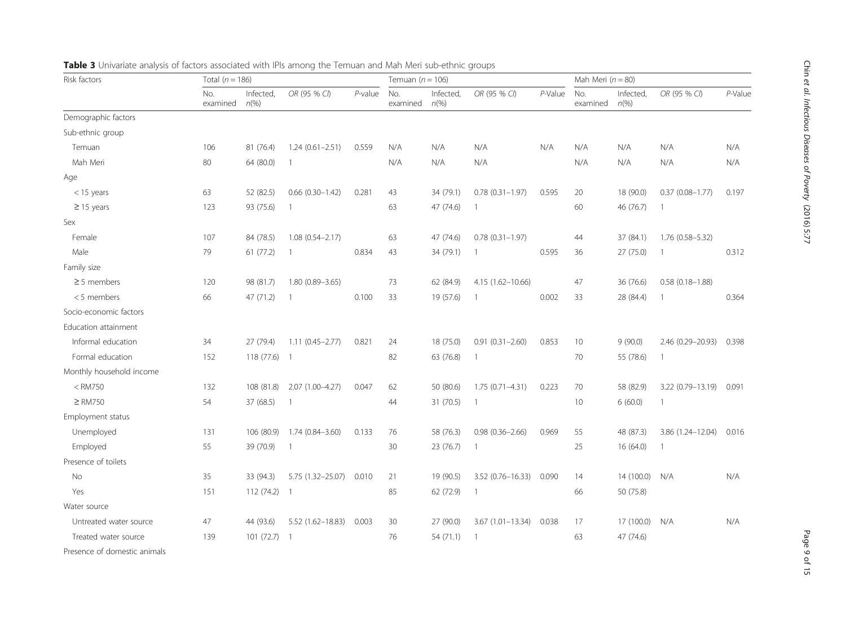| Risk factors                 | Total ( $n = 186$ ) |                             |                      | Temuan ( $n = 106$ ) |                 |                             |                        | Mah Meri ( $n = 80$ ) |                 |                             |                     |            |
|------------------------------|---------------------|-----------------------------|----------------------|----------------------|-----------------|-----------------------------|------------------------|-----------------------|-----------------|-----------------------------|---------------------|------------|
|                              | No.<br>examined     | Infected,<br>$n\frac{9}{6}$ | OR (95 % CI)         | $P$ -value           | No.<br>examined | Infected,<br>$n\frac{6}{6}$ | OR (95 % CI)           | $P-Value$             | No.<br>examined | Infected,<br>$n\frac{9}{6}$ | OR (95 % CI)        | $P$ -Value |
| Demographic factors          |                     |                             |                      |                      |                 |                             |                        |                       |                 |                             |                     |            |
| Sub-ethnic group             |                     |                             |                      |                      |                 |                             |                        |                       |                 |                             |                     |            |
| Temuan                       | 106                 | 81 (76.4)                   | $1.24(0.61 - 2.51)$  | 0.559                | N/A             | N/A                         | N/A                    | N/A                   | N/A             | N/A                         | N/A                 | N/A        |
| Mah Meri                     | 80                  | 64 (80.0)                   | $\overline{1}$       |                      | N/A             | N/A                         | N/A                    |                       | N/A             | N/A                         | N/A                 | N/A        |
| Age                          |                     |                             |                      |                      |                 |                             |                        |                       |                 |                             |                     |            |
| $<$ 15 years                 | 63                  | 52 (82.5)                   | $0.66(0.30-1.42)$    | 0.281                | 43              | 34 (79.1)                   | $0.78$ $(0.31 - 1.97)$ | 0.595                 | 20              | 18 (90.0)                   | $0.37(0.08 - 1.77)$ | 0.197      |
| $\geq$ 15 years              | 123                 | 93 (75.6)                   | $\overline{1}$       |                      | 63              | 47 (74.6)                   | $\overline{1}$         |                       | 60              | 46 (76.7)                   | $\overline{1}$      |            |
| Sex                          |                     |                             |                      |                      |                 |                             |                        |                       |                 |                             |                     |            |
| Female                       | 107                 | 84 (78.5)                   | $1.08(0.54 - 2.17)$  |                      | 63              | 47 (74.6)                   | $0.78(0.31 - 1.97)$    |                       | 44              | 37 (84.1)                   | $1.76(0.58 - 5.32)$ |            |
| Male                         | 79                  | 61 (77.2)                   | $\overline{1}$       | 0.834                | 43              | 34 (79.1)                   | $\overline{1}$         | 0.595                 | 36              | 27 (75.0)                   | $\overline{1}$      | 0.312      |
| Family size                  |                     |                             |                      |                      |                 |                             |                        |                       |                 |                             |                     |            |
| $\geq$ 5 members             | 120                 | 98 (81.7)                   | $1.80(0.89 - 3.65)$  |                      | 73              | 62 (84.9)                   | 4.15 (1.62-10.66)      |                       | 47              | 36 (76.6)                   | $0.58(0.18 - 1.88)$ |            |
| $<$ 5 members                | 66                  | 47 (71.2)                   | $\overline{1}$       | 0.100                | 33              | 19 (57.6)                   | $\overline{1}$         | 0.002                 | 33              | 28 (84.4)                   | $\overline{1}$      | 0.364      |
| Socio-economic factors       |                     |                             |                      |                      |                 |                             |                        |                       |                 |                             |                     |            |
| Education attainment         |                     |                             |                      |                      |                 |                             |                        |                       |                 |                             |                     |            |
| Informal education           | 34                  | 27 (79.4)                   | $1.11(0.45 - 2.77)$  | 0.821                | 24              | 18 (75.0)                   | $0.91(0.31 - 2.60)$    | 0.853                 | 10              | 9(90.0)                     | 2.46 (0.29-20.93)   | 0.398      |
| Formal education             | 152                 | $118(77.6)$ 1               |                      |                      | 82              | 63 (76.8)                   | $\overline{1}$         |                       | 70              | 55 (78.6)                   | $\mathbf{1}$        |            |
| Monthly household income     |                     |                             |                      |                      |                 |                             |                        |                       |                 |                             |                     |            |
| $<$ RM750                    | 132                 | 108 (81.8)                  | $2.07(1.00-4.27)$    | 0.047                | 62              | 50 (80.6)                   | $1.75(0.71 - 4.31)$    | 0.223                 | 70              | 58 (82.9)                   | 3.22 (0.79-13.19)   | 0.091      |
| $\geq$ RM750                 | 54                  | 37 (68.5)                   | $\overline{1}$       |                      | 44              | 31 (70.5)                   | $\overline{1}$         |                       | 10              | 6(60.0)                     | $\overline{1}$      |            |
| Employment status            |                     |                             |                      |                      |                 |                             |                        |                       |                 |                             |                     |            |
| Unemployed                   | 131                 | 106 (80.9)                  | $1.74(0.84 - 3.60)$  | 0.133                | 76              | 58 (76.3)                   | $0.98(0.36 - 2.66)$    | 0.969                 | 55              | 48 (87.3)                   | 3.86 (1.24-12.04)   | 0.016      |
| Employed                     | 55                  | 39 (70.9)                   | $\overline{1}$       |                      | 30              | 23 (76.7)                   | $\overline{1}$         |                       | 25              | 16 (64.0)                   | $\overline{1}$      |            |
| Presence of toilets          |                     |                             |                      |                      |                 |                             |                        |                       |                 |                             |                     |            |
| No                           | 35                  | 33 (94.3)                   | 5.75 (1.32-25.07)    | 0.010                | 21              | 19 (90.5)                   | 3.52 (0.76-16.33)      | 0.090                 | 14              | 14 (100.0)                  | N/A                 | N/A        |
| Yes                          | 151                 | $112(74.2)$ 1               |                      |                      | 85              | 62 (72.9)                   | $\overline{1}$         |                       | 66              | 50 (75.8)                   |                     |            |
| Water source                 |                     |                             |                      |                      |                 |                             |                        |                       |                 |                             |                     |            |
| Untreated water source       | 47                  | 44 (93.6)                   | $5.52(1.62 - 18.83)$ | 0.003                | 30              | 27 (90.0)                   | $3.67(1.01 - 13.34)$   | 0.038                 | 17              | 17 (100.0)                  | N/A                 | N/A        |
| Treated water source         | 139                 | 101(72.7)                   | $\overline{1}$       |                      | 76              | 54 (71.1)                   | $\overline{1}$         |                       | 63              | 47 (74.6)                   |                     |            |
| Presence of domestic animals |                     |                             |                      |                      |                 |                             |                        |                       |                 |                             |                     |            |

<span id="page-8-0"></span>Table 3 Univariate analysis of factors associated with IPIs among the Temuan and Mah Meri sub-ethnic groups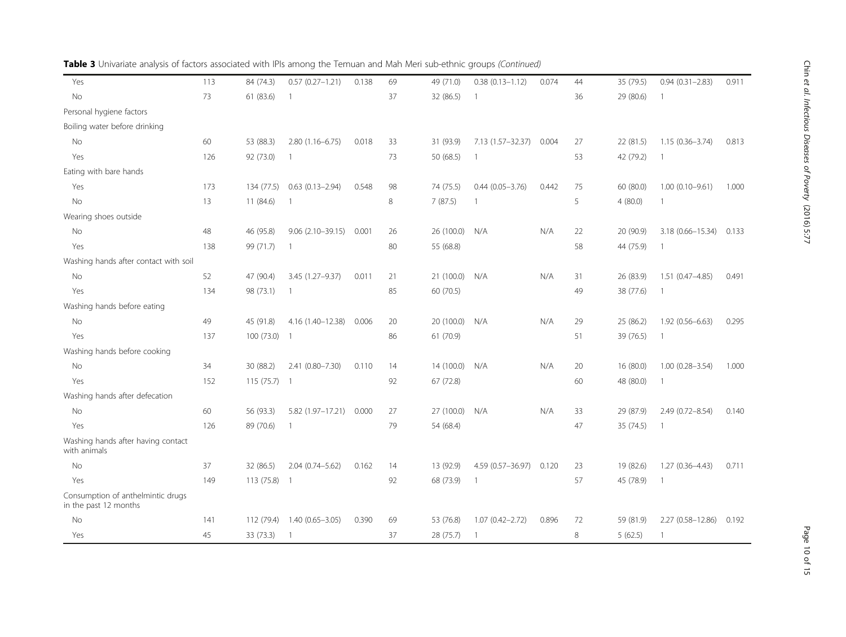| Yes                                                        | 113 | 84 (74.3)     | $0.57(0.27 - 1.21)$ | 0.138 | 69 | 49 (71.0)  | $0.38(0.13 - 1.12)$     | 0.074 | 44 | 35 (79.5) | $0.94(0.31 - 2.83)$  | 0.911 |
|------------------------------------------------------------|-----|---------------|---------------------|-------|----|------------|-------------------------|-------|----|-----------|----------------------|-------|
| <b>No</b>                                                  | 73  | 61 (83.6)     | $\overline{1}$      |       | 37 | 32 (86.5)  | $\overline{1}$          |       | 36 | 29 (80.6) | $\overline{1}$       |       |
| Personal hygiene factors                                   |     |               |                     |       |    |            |                         |       |    |           |                      |       |
| Boiling water before drinking                              |     |               |                     |       |    |            |                         |       |    |           |                      |       |
| No                                                         | 60  | 53 (88.3)     | $2.80(1.16 - 6.75)$ | 0.018 | 33 | 31 (93.9)  | 7.13 (1.57-32.37)       | 0.004 | 27 | 22 (81.5) | $1.15(0.36 - 3.74)$  | 0.813 |
| Yes                                                        | 126 | 92 (73.0)     | $\overline{1}$      |       | 73 | 50 (68.5)  | $\overline{1}$          |       | 53 | 42 (79.2) | $\overline{1}$       |       |
| Eating with bare hands                                     |     |               |                     |       |    |            |                         |       |    |           |                      |       |
| Yes                                                        | 173 | 134 (77.5)    | $0.63(0.13 - 2.94)$ | 0.548 | 98 | 74 (75.5)  | $0.44(0.05 - 3.76)$     | 0.442 | 75 | 60 (80.0) | $1.00(0.10 - 9.61)$  | 1.000 |
| No                                                         | 13  | 11 (84.6)     | $\overline{1}$      |       | 8  | 7(87.5)    | $\overline{1}$          |       | 5  | 4(80.0)   | $\overline{1}$       |       |
| Wearing shoes outside                                      |     |               |                     |       |    |            |                         |       |    |           |                      |       |
| <b>No</b>                                                  | 48  | 46 (95.8)     | $9.06(2.10-39.15)$  | 0.001 | 26 | 26 (100.0) | N/A                     | N/A   | 22 | 20 (90.9) | $3.18(0.66 - 15.34)$ | 0.133 |
| Yes                                                        | 138 | 99 (71.7)     | $\overline{1}$      |       | 80 | 55 (68.8)  |                         |       | 58 | 44 (75.9) | -1                   |       |
| Washing hands after contact with soil                      |     |               |                     |       |    |            |                         |       |    |           |                      |       |
| No                                                         | 52  | 47 (90.4)     | 3.45 (1.27-9.37)    | 0.011 | 21 | 21 (100.0) | N/A                     | N/A   | 31 | 26 (83.9) | $1.51(0.47 - 4.85)$  | 0.491 |
| Yes                                                        | 134 | 98 (73.1)     | $\overline{1}$      |       | 85 | 60 (70.5)  |                         |       | 49 | 38 (77.6) | $\overline{1}$       |       |
| Washing hands before eating                                |     |               |                     |       |    |            |                         |       |    |           |                      |       |
| No                                                         | 49  | 45 (91.8)     | 4.16 (1.40-12.38)   | 0.006 | 20 | 20 (100.0) | N/A                     | N/A   | 29 | 25 (86.2) | $1.92(0.56 - 6.63)$  | 0.295 |
| Yes                                                        | 137 | 100 (73.0)    | $\overline{1}$      |       | 86 | 61 (70.9)  |                         |       | 51 | 39 (76.5) | $\overline{1}$       |       |
| Washing hands before cooking                               |     |               |                     |       |    |            |                         |       |    |           |                      |       |
| No                                                         | 34  | 30 (88.2)     | 2.41 (0.80-7.30)    | 0.110 | 14 | 14 (100.0) | N/A                     | N/A   | 20 | 16 (80.0) | $1.00(0.28 - 3.54)$  | 1.000 |
| Yes                                                        | 152 | $115(75.7)$ 1 |                     |       | 92 | 67 (72.8)  |                         |       | 60 | 48 (80.0) | $\mathbf{1}$         |       |
| Washing hands after defecation                             |     |               |                     |       |    |            |                         |       |    |           |                      |       |
| No                                                         | 60  | 56 (93.3)     | 5.82 (1.97-17.21)   | 0.000 | 27 | 27 (100.0) | N/A                     | N/A   | 33 | 29 (87.9) | 2.49 (0.72-8.54)     | 0.140 |
| Yes                                                        | 126 | 89 (70.6)     |                     |       | 79 | 54 (68.4)  |                         |       | 47 | 35 (74.5) | $\mathbf{1}$         |       |
| Washing hands after having contact<br>with animals         |     |               |                     |       |    |            |                         |       |    |           |                      |       |
| No                                                         | 37  | 32 (86.5)     | $2.04(0.74 - 5.62)$ | 0.162 | 14 | 13 (92.9)  | 4.59 (0.57-36.97) 0.120 |       | 23 | 19 (82.6) | $1.27(0.36 - 4.43)$  | 0.711 |
| Yes                                                        | 149 | 113(75.8)     | $\overline{1}$      |       | 92 | 68 (73.9)  | $\overline{1}$          |       | 57 | 45 (78.9) | $\overline{1}$       |       |
| Consumption of anthelmintic drugs<br>in the past 12 months |     |               |                     |       |    |            |                         |       |    |           |                      |       |
| <b>No</b>                                                  | 141 | 112 (79.4)    | $1.40(0.65 - 3.05)$ | 0.390 | 69 | 53 (76.8)  | $1.07(0.42 - 2.72)$     | 0.896 | 72 | 59 (81.9) | 2.27 (0.58-12.86)    | 0.192 |
| Yes                                                        | 45  | 33 (73.3)     | $\overline{1}$      |       | 37 | 28 (75.7)  | $\overline{1}$          |       | 8  | 5(62.5)   | $\mathbf{1}$         |       |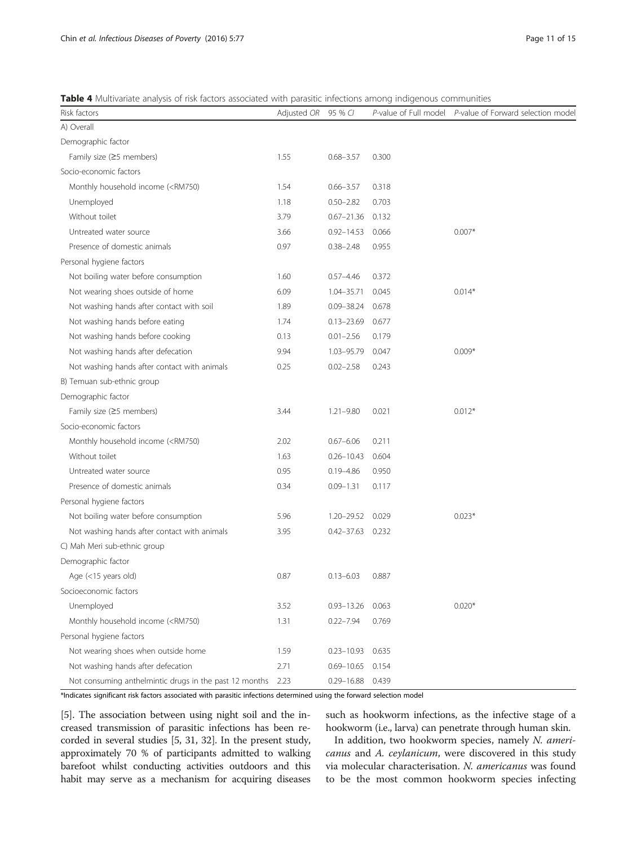<span id="page-10-0"></span>Table 4 Multivariate analysis of risk factors associated with parasitic infections among indigenous communities

| Risk factors                                                                                                              | Adjusted OR 95 % CI |                      |       | P-value of Full model P-value of Forward selection model |
|---------------------------------------------------------------------------------------------------------------------------|---------------------|----------------------|-------|----------------------------------------------------------|
| A) Overall                                                                                                                |                     |                      |       |                                                          |
| Demographic factor                                                                                                        |                     |                      |       |                                                          |
| Family size (≥5 members)                                                                                                  | 1.55                | $0.68 - 3.57$        | 0.300 |                                                          |
| Socio-economic factors                                                                                                    |                     |                      |       |                                                          |
| Monthly household income ( <rm750)< td=""><td>1.54</td><td><math>0.66 - 3.57</math></td><td>0.318</td><td></td></rm750)<> | 1.54                | $0.66 - 3.57$        | 0.318 |                                                          |
| Unemployed                                                                                                                | 1.18                | $0.50 - 2.82$        | 0.703 |                                                          |
| Without toilet                                                                                                            | 3.79                | $0.67 - 21.36$       | 0.132 |                                                          |
| Untreated water source                                                                                                    | 3.66                | $0.92 - 14.53$       | 0.066 | $0.007*$                                                 |
| Presence of domestic animals                                                                                              | 0.97                | $0.38 - 2.48$        | 0.955 |                                                          |
| Personal hygiene factors                                                                                                  |                     |                      |       |                                                          |
| Not boiling water before consumption                                                                                      | 1.60                | $0.57 - 4.46$        | 0.372 |                                                          |
| Not wearing shoes outside of home                                                                                         | 6.09                | 1.04-35.71           | 0.045 | $0.014*$                                                 |
| Not washing hands after contact with soil                                                                                 | 1.89                | $0.09 - 38.24$ 0.678 |       |                                                          |
| Not washing hands before eating                                                                                           | 1.74                | $0.13 - 23.69$       | 0.677 |                                                          |
| Not washing hands before cooking                                                                                          | 0.13                | $0.01 - 2.56$        | 0.179 |                                                          |
| Not washing hands after defecation                                                                                        | 9.94                | 1.03-95.79           | 0.047 | $0.009*$                                                 |
| Not washing hands after contact with animals                                                                              | 0.25                | $0.02 - 2.58$        | 0.243 |                                                          |
| B) Temuan sub-ethnic group                                                                                                |                     |                      |       |                                                          |
| Demographic factor                                                                                                        |                     |                      |       |                                                          |
| Family size $(25$ members)                                                                                                | 3.44                | $1.21 - 9.80$        | 0.021 | $0.012*$                                                 |
| Socio-economic factors                                                                                                    |                     |                      |       |                                                          |
| Monthly household income ( <rm750)< td=""><td>2.02</td><td><math>0.67 - 6.06</math></td><td>0.211</td><td></td></rm750)<> | 2.02                | $0.67 - 6.06$        | 0.211 |                                                          |
| Without toilet                                                                                                            | 1.63                | $0.26 - 10.43$       | 0.604 |                                                          |
| Untreated water source                                                                                                    | 0.95                | $0.19 - 4.86$        | 0.950 |                                                          |
| Presence of domestic animals                                                                                              | 0.34                | $0.09 - 1.31$        | 0.117 |                                                          |
| Personal hygiene factors                                                                                                  |                     |                      |       |                                                          |
| Not boiling water before consumption                                                                                      | 5.96                | $1.20 - 29.52$       | 0.029 | $0.023*$                                                 |
| Not washing hands after contact with animals                                                                              | 3.95                | $0.42 - 37.63$ 0.232 |       |                                                          |
| C) Mah Meri sub-ethnic group                                                                                              |                     |                      |       |                                                          |
| Demographic factor                                                                                                        |                     |                      |       |                                                          |
| Age (<15 years old)                                                                                                       | 0.87                | $0.13 - 6.03$        | 0.887 |                                                          |
| Socioeconomic factors                                                                                                     |                     |                      |       |                                                          |
| Unemployed                                                                                                                | 3.52                | $0.93 - 13.26$       | 0.063 | $0.020*$                                                 |
| Monthly household income ( <rm750)< td=""><td>1.31</td><td><math>0.22 - 7.94</math></td><td>0.769</td><td></td></rm750)<> | 1.31                | $0.22 - 7.94$        | 0.769 |                                                          |
| Personal hygiene factors                                                                                                  |                     |                      |       |                                                          |
| Not wearing shoes when outside home                                                                                       | 1.59                | $0.23 - 10.93$       | 0.635 |                                                          |
| Not washing hands after defecation                                                                                        | 2.71                | $0.69 - 10.65$       | 0.154 |                                                          |
| Not consuming anthelmintic drugs in the past 12 months                                                                    | 2.23                | 0.29-16.88 0.439     |       |                                                          |

\*Indicates significant risk factors associated with parasitic infections determined using the forward selection model

[[5\]](#page-13-0). The association between using night soil and the increased transmission of parasitic infections has been recorded in several studies [\[5,](#page-13-0) [31, 32\]](#page-14-0). In the present study, approximately 70 % of participants admitted to walking barefoot whilst conducting activities outdoors and this habit may serve as a mechanism for acquiring diseases

such as hookworm infections, as the infective stage of a hookworm (i.e., larva) can penetrate through human skin.

In addition, two hookworm species, namely N. americanus and A. ceylanicum, were discovered in this study via molecular characterisation. N. americanus was found to be the most common hookworm species infecting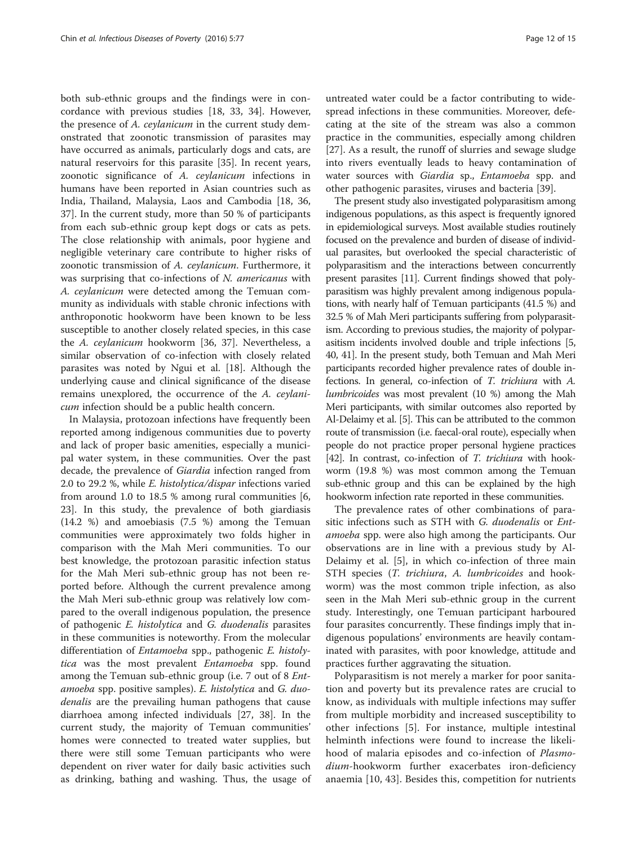both sub-ethnic groups and the findings were in concordance with previous studies [\[18,](#page-13-0) [33](#page-14-0), [34](#page-14-0)]. However, the presence of A. ceylanicum in the current study demonstrated that zoonotic transmission of parasites may have occurred as animals, particularly dogs and cats, are natural reservoirs for this parasite [\[35](#page-14-0)]. In recent years, zoonotic significance of A. ceylanicum infections in humans have been reported in Asian countries such as India, Thailand, Malaysia, Laos and Cambodia [\[18,](#page-13-0) [36](#page-14-0), [37\]](#page-14-0). In the current study, more than 50 % of participants from each sub-ethnic group kept dogs or cats as pets. The close relationship with animals, poor hygiene and negligible veterinary care contribute to higher risks of zoonotic transmission of A. ceylanicum. Furthermore, it was surprising that co-infections of N. americanus with A. ceylanicum were detected among the Temuan community as individuals with stable chronic infections with anthroponotic hookworm have been known to be less susceptible to another closely related species, in this case the A. ceylanicum hookworm [[36](#page-14-0), [37](#page-14-0)]. Nevertheless, a similar observation of co-infection with closely related parasites was noted by Ngui et al. [\[18](#page-13-0)]. Although the underlying cause and clinical significance of the disease remains unexplored, the occurrence of the A. ceylanicum infection should be a public health concern.

In Malaysia, protozoan infections have frequently been reported among indigenous communities due to poverty and lack of proper basic amenities, especially a municipal water system, in these communities. Over the past decade, the prevalence of Giardia infection ranged from 2.0 to 29.2 %, while E. histolytica/dispar infections varied from around 1.0 to 18.5 % among rural communities [\[6](#page-13-0), [23\]](#page-14-0). In this study, the prevalence of both giardiasis (14.2 %) and amoebiasis (7.5 %) among the Temuan communities were approximately two folds higher in comparison with the Mah Meri communities. To our best knowledge, the protozoan parasitic infection status for the Mah Meri sub-ethnic group has not been reported before. Although the current prevalence among the Mah Meri sub-ethnic group was relatively low compared to the overall indigenous population, the presence of pathogenic E. histolytica and G. duodenalis parasites in these communities is noteworthy. From the molecular differentiation of *Entamoeba* spp., pathogenic *E. histoly*tica was the most prevalent Entamoeba spp. found among the Temuan sub-ethnic group (i.e. 7 out of 8 *Ent*amoeba spp. positive samples). E. histolytica and G. duodenalis are the prevailing human pathogens that cause diarrhoea among infected individuals [\[27](#page-14-0), [38\]](#page-14-0). In the current study, the majority of Temuan communities' homes were connected to treated water supplies, but there were still some Temuan participants who were dependent on river water for daily basic activities such as drinking, bathing and washing. Thus, the usage of

untreated water could be a factor contributing to widespread infections in these communities. Moreover, defecating at the site of the stream was also a common practice in the communities, especially among children [[27\]](#page-14-0). As a result, the runoff of slurries and sewage sludge into rivers eventually leads to heavy contamination of water sources with Giardia sp., Entamoeba spp. and other pathogenic parasites, viruses and bacteria [[39\]](#page-14-0).

The present study also investigated polyparasitism among indigenous populations, as this aspect is frequently ignored in epidemiological surveys. Most available studies routinely focused on the prevalence and burden of disease of individual parasites, but overlooked the special characteristic of polyparasitism and the interactions between concurrently present parasites [\[11](#page-13-0)]. Current findings showed that polyparasitism was highly prevalent among indigenous populations, with nearly half of Temuan participants (41.5 %) and 32.5 % of Mah Meri participants suffering from polyparasitism. According to previous studies, the majority of polyparasitism incidents involved double and triple infections [[5](#page-13-0), [40](#page-14-0), [41\]](#page-14-0). In the present study, both Temuan and Mah Meri participants recorded higher prevalence rates of double infections. In general, co-infection of T. trichiura with A. lumbricoides was most prevalent (10 %) among the Mah Meri participants, with similar outcomes also reported by Al-Delaimy et al. [\[5\]](#page-13-0). This can be attributed to the common route of transmission (i.e. faecal-oral route), especially when people do not practice proper personal hygiene practices [[42](#page-14-0)]. In contrast, co-infection of T. trichiura with hookworm (19.8 %) was most common among the Temuan sub-ethnic group and this can be explained by the high hookworm infection rate reported in these communities.

The prevalence rates of other combinations of parasitic infections such as STH with G. duodenalis or Entamoeba spp. were also high among the participants. Our observations are in line with a previous study by Al-Delaimy et al. [\[5](#page-13-0)], in which co-infection of three main STH species (T. trichiura, A. lumbricoides and hookworm) was the most common triple infection, as also seen in the Mah Meri sub-ethnic group in the current study. Interestingly, one Temuan participant harboured four parasites concurrently. These findings imply that indigenous populations' environments are heavily contaminated with parasites, with poor knowledge, attitude and practices further aggravating the situation.

Polyparasitism is not merely a marker for poor sanitation and poverty but its prevalence rates are crucial to know, as individuals with multiple infections may suffer from multiple morbidity and increased susceptibility to other infections [[5](#page-13-0)]. For instance, multiple intestinal helminth infections were found to increase the likelihood of malaria episodes and co-infection of Plasmodium-hookworm further exacerbates iron-deficiency anaemia [\[10](#page-13-0), [43](#page-14-0)]. Besides this, competition for nutrients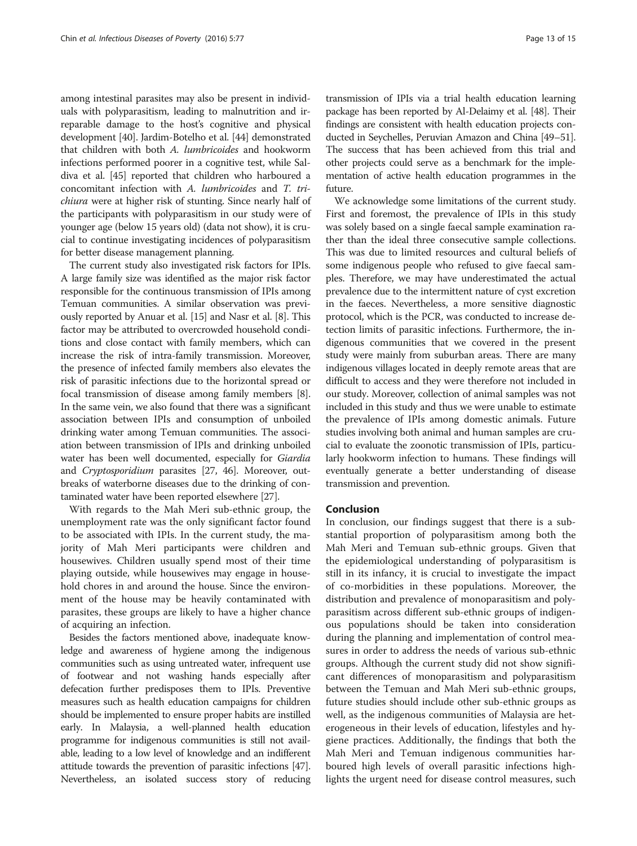among intestinal parasites may also be present in individuals with polyparasitism, leading to malnutrition and irreparable damage to the host's cognitive and physical development [\[40\]](#page-14-0). Jardim-Botelho et al. [[44\]](#page-14-0) demonstrated that children with both A. lumbricoides and hookworm infections performed poorer in a cognitive test, while Saldiva et al. [[45](#page-14-0)] reported that children who harboured a concomitant infection with A. lumbricoides and T. trichiura were at higher risk of stunting. Since nearly half of the participants with polyparasitism in our study were of younger age (below 15 years old) (data not show), it is crucial to continue investigating incidences of polyparasitism for better disease management planning.

The current study also investigated risk factors for IPIs. A large family size was identified as the major risk factor responsible for the continuous transmission of IPIs among Temuan communities. A similar observation was previously reported by Anuar et al. [\[15\]](#page-13-0) and Nasr et al. [\[8\]](#page-13-0). This factor may be attributed to overcrowded household conditions and close contact with family members, which can increase the risk of intra-family transmission. Moreover, the presence of infected family members also elevates the risk of parasitic infections due to the horizontal spread or focal transmission of disease among family members [[8](#page-13-0)]. In the same vein, we also found that there was a significant association between IPIs and consumption of unboiled drinking water among Temuan communities. The association between transmission of IPIs and drinking unboiled water has been well documented, especially for Giardia and Cryptosporidium parasites [[27](#page-14-0), [46](#page-14-0)]. Moreover, outbreaks of waterborne diseases due to the drinking of contaminated water have been reported elsewhere [[27](#page-14-0)].

With regards to the Mah Meri sub-ethnic group, the unemployment rate was the only significant factor found to be associated with IPIs. In the current study, the majority of Mah Meri participants were children and housewives. Children usually spend most of their time playing outside, while housewives may engage in household chores in and around the house. Since the environment of the house may be heavily contaminated with parasites, these groups are likely to have a higher chance of acquiring an infection.

Besides the factors mentioned above, inadequate knowledge and awareness of hygiene among the indigenous communities such as using untreated water, infrequent use of footwear and not washing hands especially after defecation further predisposes them to IPIs. Preventive measures such as health education campaigns for children should be implemented to ensure proper habits are instilled early. In Malaysia, a well-planned health education programme for indigenous communities is still not available, leading to a low level of knowledge and an indifferent attitude towards the prevention of parasitic infections [\[47](#page-14-0)]. Nevertheless, an isolated success story of reducing transmission of IPIs via a trial health education learning package has been reported by Al-Delaimy et al. [\[48\]](#page-14-0). Their findings are consistent with health education projects conducted in Seychelles, Peruvian Amazon and China [[49](#page-14-0)–[51](#page-14-0)]. The success that has been achieved from this trial and other projects could serve as a benchmark for the implementation of active health education programmes in the future.

We acknowledge some limitations of the current study. First and foremost, the prevalence of IPIs in this study was solely based on a single faecal sample examination rather than the ideal three consecutive sample collections. This was due to limited resources and cultural beliefs of some indigenous people who refused to give faecal samples. Therefore, we may have underestimated the actual prevalence due to the intermittent nature of cyst excretion in the faeces. Nevertheless, a more sensitive diagnostic protocol, which is the PCR, was conducted to increase detection limits of parasitic infections. Furthermore, the indigenous communities that we covered in the present study were mainly from suburban areas. There are many indigenous villages located in deeply remote areas that are difficult to access and they were therefore not included in our study. Moreover, collection of animal samples was not included in this study and thus we were unable to estimate the prevalence of IPIs among domestic animals. Future studies involving both animal and human samples are crucial to evaluate the zoonotic transmission of IPIs, particularly hookworm infection to humans. These findings will eventually generate a better understanding of disease transmission and prevention.

#### Conclusion

In conclusion, our findings suggest that there is a substantial proportion of polyparasitism among both the Mah Meri and Temuan sub-ethnic groups. Given that the epidemiological understanding of polyparasitism is still in its infancy, it is crucial to investigate the impact of co-morbidities in these populations. Moreover, the distribution and prevalence of monoparasitism and polyparasitism across different sub-ethnic groups of indigenous populations should be taken into consideration during the planning and implementation of control measures in order to address the needs of various sub-ethnic groups. Although the current study did not show significant differences of monoparasitism and polyparasitism between the Temuan and Mah Meri sub-ethnic groups, future studies should include other sub-ethnic groups as well, as the indigenous communities of Malaysia are heterogeneous in their levels of education, lifestyles and hygiene practices. Additionally, the findings that both the Mah Meri and Temuan indigenous communities harboured high levels of overall parasitic infections highlights the urgent need for disease control measures, such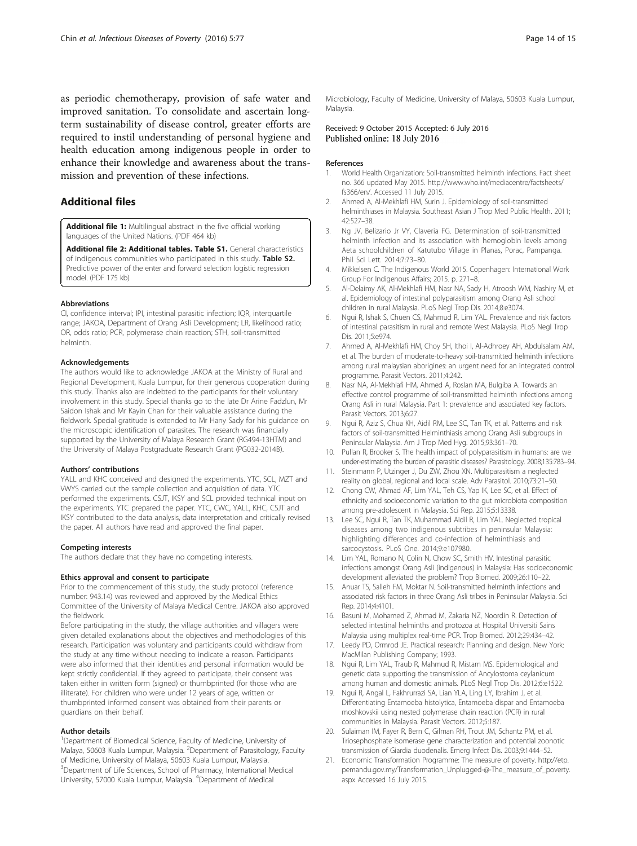<span id="page-13-0"></span>as periodic chemotherapy, provision of safe water and improved sanitation. To consolidate and ascertain longterm sustainability of disease control, greater efforts are required to instil understanding of personal hygiene and health education among indigenous people in order to enhance their knowledge and awareness about the transmission and prevention of these infections.

#### Additional files

[Additional file 1:](dx.doi.org/10.1186/s40249-016-0168-z) Multilingual abstract in the five official working languages of the United Nations. (PDF 464 kb)

[Additional file 2: Additional tables. Table S1.](dx.doi.org/10.1186/s40249-016-0168-z) General characteristics of indigenous communities who participated in this study. Table S2. Predictive power of the enter and forward selection logistic regression model. (PDF 175 kb)

#### Abbreviations

CI, confidence interval; IPI, intestinal parasitic infection; IQR, interquartile range; JAKOA, Department of Orang Asli Development; LR, likelihood ratio; OR, odds ratio; PCR, polymerase chain reaction; STH, soil-transmitted helminth.

#### Acknowledgements

The authors would like to acknowledge JAKOA at the Ministry of Rural and Regional Development, Kuala Lumpur, for their generous cooperation during this study. Thanks also are indebted to the participants for their voluntary involvement in this study. Special thanks go to the late Dr Arine Fadzlun, Mr Saidon Ishak and Mr Kayin Chan for their valuable assistance during the fieldwork. Special gratitude is extended to Mr Hany Sady for his guidance on the microscopic identification of parasites. The research was financially supported by the University of Malaya Research Grant (RG494-13HTM) and the University of Malaya Postgraduate Research Grant (PG032-2014B).

#### Authors' contributions

YALL and KHC conceived and designed the experiments. YTC, SCL, MZT and VWYS carried out the sample collection and acquisition of data. YTC performed the experiments. CSJT, IKSY and SCL provided technical input on the experiments. YTC prepared the paper. YTC, CWC, YALL, KHC, CSJT and IKSY contributed to the data analysis, data interpretation and critically revised the paper. All authors have read and approved the final paper.

#### Competing interests

The authors declare that they have no competing interests.

#### Ethics approval and consent to participate

Prior to the commencement of this study, the study protocol (reference number: 943.14) was reviewed and approved by the Medical Ethics Committee of the University of Malaya Medical Centre. JAKOA also approved the fieldwork.

Before participating in the study, the village authorities and villagers were given detailed explanations about the objectives and methodologies of this research. Participation was voluntary and participants could withdraw from the study at any time without needing to indicate a reason. Participants were also informed that their identities and personal information would be kept strictly confidential. If they agreed to participate, their consent was taken either in written form (signed) or thumbprinted (for those who are illiterate). For children who were under 12 years of age, written or thumbprinted informed consent was obtained from their parents or guardians on their behalf.

#### Author details

<sup>1</sup>Department of Biomedical Science, Faculty of Medicine, University of Malaya, 50603 Kuala Lumpur, Malaysia. <sup>2</sup>Department of Parasitology, Faculty of Medicine, University of Malaya, 50603 Kuala Lumpur, Malaysia. <sup>3</sup>Department of Life Sciences, School of Pharmacy, International Medical University, 57000 Kuala Lumpur, Malaysia. <sup>4</sup>Department of Medical

Microbiology, Faculty of Medicine, University of Malaya, 50603 Kuala Lumpur, Malaysia.

#### Received: 9 October 2015 Accepted: 6 July 2016 Published online: 18 July 2016

#### References

- 1. World Health Organization: Soil-transmitted helminth infections. Fact sheet no. 366 updated May 2015. [http://www.who.int/mediacentre/factsheets/](http://www.who.int/mediacentre/factsheets/fs366/en/) [fs366/en/.](http://www.who.int/mediacentre/factsheets/fs366/en/) Accessed 11 July 2015.
- 2. Ahmed A, Al-Mekhlafi HM, Surin J. Epidemiology of soil-transmitted helminthiases in Malaysia. Southeast Asian J Trop Med Public Health. 2011; 42:527–38.
- 3. Ng JV, Belizario Jr VY, Claveria FG. Determination of soil-transmitted helminth infection and its association with hemoglobin levels among Aeta schoolchildren of Katutubo Village in Planas, Porac, Pampanga. Phil Sci Lett. 2014;7:73–80.
- 4. Mikkelsen C. The Indigenous World 2015. Copenhagen: International Work Group For Indigenous Affairs; 2015. p. 271–8.
- 5. Al-Delaimy AK, Al-Mekhlafi HM, Nasr NA, Sady H, Atroosh WM, Nashiry M, et al. Epidemiology of intestinal polyparasitism among Orang Asli school children in rural Malaysia. PLoS Negl Trop Dis. 2014;8:e3074.
- 6. Ngui R, Ishak S, Chuen CS, Mahmud R, Lim YAL. Prevalence and risk factors of intestinal parasitism in rural and remote West Malaysia. PLoS Negl Trop Dis. 2011;5:e974.
- 7. Ahmed A, Al-Mekhlafi HM, Choy SH, Ithoi I, Al-Adhroey AH, Abdulsalam AM, et al. The burden of moderate-to-heavy soil-transmitted helminth infections among rural malaysian aborigines: an urgent need for an integrated control programme. Parasit Vectors. 2011;4:242.
- 8. Nasr NA, Al-Mekhlafi HM, Ahmed A, Roslan MA, Bulgiba A. Towards an effective control programme of soil-transmitted helminth infections among Orang Asli in rural Malaysia. Part 1: prevalence and associated key factors. Parasit Vectors. 2013;6:27.
- 9. Ngui R, Aziz S, Chua KH, Aidil RM, Lee SC, Tan TK, et al. Patterns and risk factors of soil-transmitted Helminthiasis among Orang Asli subgroups in Peninsular Malaysia. Am J Trop Med Hyg. 2015;93:361–70.
- 10. Pullan R, Brooker S. The health impact of polyparasitism in humans: are we under-estimating the burden of parasitic diseases? Parasitology. 2008;135:783–94.
- 11. Steinmann P, Utzinger J, Du ZW, Zhou XN. Multiparasitism a neglected reality on global, regional and local scale. Adv Parasitol. 2010;73:21–50.
- 12. Chong CW, Ahmad AF, Lim YAL, Teh CS, Yap IK, Lee SC, et al. Effect of ethnicity and socioeconomic variation to the gut microbiota composition among pre-adolescent in Malaysia. Sci Rep. 2015;5:13338.
- 13. Lee SC, Ngui R, Tan TK, Muhammad Aidil R, Lim YAL. Neglected tropical diseases among two indigenous subtribes in peninsular Malaysia: highlighting differences and co-infection of helminthiasis and sarcocystosis. PLoS One. 2014;9:e107980.
- 14. Lim YAL, Romano N, Colin N, Chow SC, Smith HV. Intestinal parasitic infections amongst Orang Asli (indigenous) in Malaysia: Has socioeconomic development alleviated the problem? Trop Biomed. 2009;26:110–22.
- 15. Anuar TS, Salleh FM, Moktar N. Soil-transmitted helminth infections and associated risk factors in three Orang Asli tribes in Peninsular Malaysia. Sci Rep. 2014;4:4101.
- 16. Basuni M, Mohamed Z, Ahmad M, Zakaria NZ, Noordin R. Detection of selected intestinal helminths and protozoa at Hospital Universiti Sains Malaysia using multiplex real-time PCR. Trop Biomed. 2012;29:434–42.
- 17. Leedy PD, Ormrod JE. Practical research: Planning and design. New York: MacMilan Publishing Company; 1993.
- 18. Ngui R, Lim YAL, Traub R, Mahmud R, Mistam MS. Epidemiological and genetic data supporting the transmission of Ancylostoma ceylanicum among human and domestic animals. PLoS Negl Trop Dis. 2012;6:e1522.
- 19. Ngui R, Angal L, Fakhrurrazi SA, Lian YLA, Ling LY, Ibrahim J, et al. Differentiating Entamoeba histolytica, Entamoeba dispar and Entamoeba moshkovskii using nested polymerase chain reaction (PCR) in rural communities in Malaysia. Parasit Vectors. 2012;5:187.
- 20. Sulaiman IM, Fayer R, Bern C, Gilman RH, Trout JM, Schantz PM, et al. Triosephosphate isomerase gene characterization and potential zoonotic transmission of Giardia duodenalis. Emerg Infect Dis. 2003;9:1444–52.
- 21. Economic Transformation Programme: The measure of poverty. [http://etp.](http://etp.pemandu.gov.my/Transformation_Unplugged-@-The_measure_of_poverty.aspx) [pemandu.gov.my/Transformation\\_Unplugged-@-The\\_measure\\_of\\_poverty.](http://etp.pemandu.gov.my/Transformation_Unplugged-@-The_measure_of_poverty.aspx) [aspx](http://etp.pemandu.gov.my/Transformation_Unplugged-@-The_measure_of_poverty.aspx) Accessed 16 July 2015.